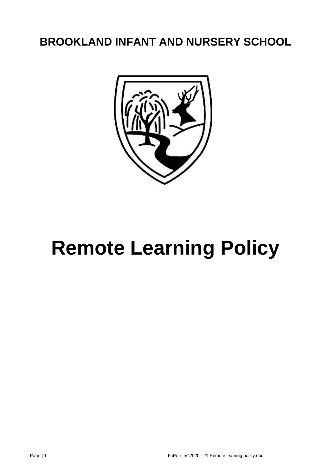# **BROOKLAND INFANT AND NURSERY SCHOOL**



# **Remote Learning Policy**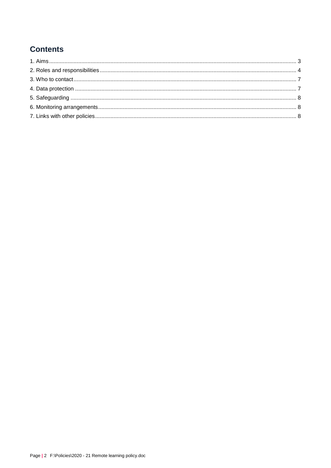# **Contents**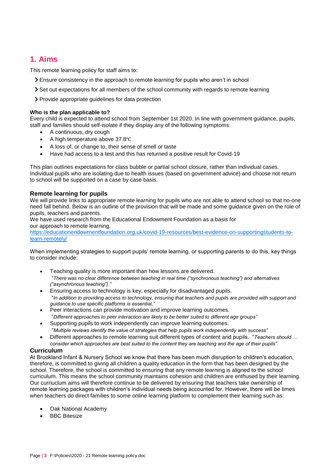# <span id="page-2-0"></span>**1. Aims**

This remote learning policy for staff aims to:

- Ensure consistency in the approach to remote learning for pupils who aren't in school
- Set out expectations for all members of the school community with regards to remote learning
- Provide appropriate guidelines for data protection

#### **Who is the plan applicable to?**

Every child is expected to attend school from September 1st 2020. In line with government guidance, pupils, staff and families should self-isolate if they display any of the following symptoms:

- A continuous, dry cough
- A high temperature above 37.8℃
- A loss of, or change to, their sense of smell or taste
- Have had access to a test and this has returned a positive result for Covid-19

This plan outlines expectations for class bubble or partial school closure, rather than individual cases. Individual pupils who are isolating due to health issues (based on government advice) and choose not return to school will be supported on a case by case basis.

#### **Remote learning for pupils**

We will provide links to appropriate remote learning for pupils who are not able to attend school so that no-one need fall behind. Below is an outline of the provision that will be made and some guidance given on the role of pupils, teachers and parents.

We have used research from the Educational Endowment Foundation as a basis for our approach to remote learning.

[https://educationendowmentfoundation.org.uk/covid-19-resources/best-evidence-on-supportingstudents-to](https://educationendowmentfoundation.org.uk/covid-19-resources/best-evidence-on-supportingstudents-to-learn-remotely/)[learn-remotely/](https://educationendowmentfoundation.org.uk/covid-19-resources/best-evidence-on-supportingstudents-to-learn-remotely/)

When implementing strategies to support pupils' remote learning, or supporting parents to do this, key things to consider include:

- Teaching quality is more important than how lessons are delivered. "*There was no clear difference between teaching in real time ("synchronous teaching") and alternatives ("asynchronous teaching")."*
- Ensuring access to technology is key, especially for disadvantaged pupils. "*In addition to providing access to technology, ensuring that teachers and pupils are provided with support and guidance to use specific platforms is essential,"*
- Peer interactions can provide motivation and improve learning outcomes. "*Different approaches to peer interaction are likely to be better suited to different age groups"*
- Supporting pupils to work independently can improve learning outcomes. "*Multiple reviews identify the value of strategies that help pupils work independently with success"*
- Different approaches to remote learning suit different types of content and pupils. "*Teachers should … consider which approaches are best suited to the content they are teaching and the age of their pupils".*

#### **Curriculum**

At Brookland Infant & Nursery School we know that there has been much disruption to children's education, therefore, is committed to giving all children a quality education in the form that has been designed by the school. Therefore, the school is committed to ensuring that any remote learning is aligned to the school curriculum. This means the school community maintains cohesion and children are enthused by their learning. Our curriuclum aims will therefore continue to be delivered by ensuring that teachers take ownership of remote learning packages with children's individual needs being accounted for. However, there will be times when teachers do direct families to some online learning platform to complement their learning such as:

- Oak National Academy
- BBC Bitesize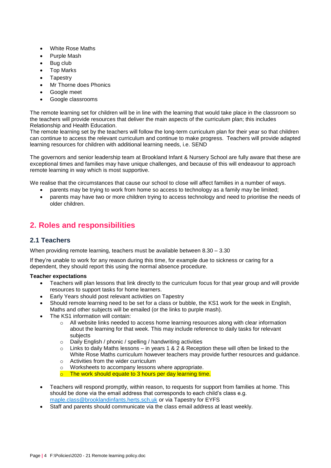- White Rose Maths
- Purple Mash
- Bug club
- Top Marks
- **Tapestry**
- Mr Thorne does Phonics
- Google meet
- Google classrooms

The remote learning set for children will be in line with the learning that would take place in the classroom so the teachers will provide resources that deliver the main aspects of the curriculum plan; this includes Relationship and Health Education.

The remote learning set by the teachers will follow the long-term curriculum plan for their year so that children can continue to access the relevant curriculum and continue to make progress. Teachers will provide adapted learning resources for children with additional learning needs, i.e. SEND

The governors and senior leadership team at Brookland Infant & Nursery School are fully aware that these are exceptional times and families may have unique challenges, and because of this will endeavour to approach remote learning in way which is most supportive.

We realise that the circumstances that cause our school to close will affect families in a number of ways.

- parents may be trying to work from home so access to technology as a family may be limited;
- parents may have two or more children trying to access technology and need to prioritise the needs of older children.

# <span id="page-3-0"></span>**2. Roles and responsibilities**

# **2.1 Teachers**

When providing remote learning, teachers must be available between 8.30 – 3.30

If they're unable to work for any reason during this time, for example due to sickness or caring for a dependent, they should report this using the normal absence procedure.

#### **Teacher expectations**

- Teachers will plan lessons that link directly to the curriculum focus for that year group and will provide resources to support tasks for home learners.
- Early Years should post relevant activities on Tapestry
- Should remote learning need to be set for a class or bubble, the KS1 work for the week in English, Maths and other subjects will be emailed (or the links to purple mash).
- The KS1 information will contain:
	- $\circ$  All website links needed to access home learning resources along with clear information about the learning for that week. This may include reference to daily tasks for relevant subjects
	- o Daily English / phonic / spelling / handwriting activities
	- $\circ$  Links to daily Maths lessons in years 1 & 2 & Reception these will often be linked to the White Rose Maths curriculum however teachers may provide further resources and guidance.
	- o Activities from the wider curriculum
	- Worksheets to accompany lessons where appropriate.
	- o The work should equate to 3 hours per day learning time.
- Teachers will respond promptly, within reason, to requests for support from families at home. This should be done via the email address that corresponds to each child's class e.g. [maple.class@brooklandinfants.herts.sch.uk](mailto:maple.class@brooklandinfants.herts.sch.uk) or via Tapestry for EYFS
- Staff and parents should communicate via the class email address at least weekly.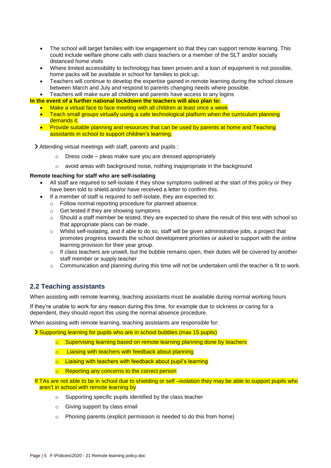- The school will target families with low engagement so that they can support remote learning. This could include welfare phone calls with class teachers or a member of the SLT and/or socially distanced home visits
- Where limited accessibility to technology has been proven and a loan of equipment is not possible, home packs will be available in school for families to pick up.
- Teachers will continue to develop the expertise gained in remote learning during the school closure between March and July and respond to parents changing needs where possible.
- Teachers will make sure all children and parents have access to any logins

**In the event of a further national lockdown the teachers will also plan to:**

- Make a virtual face to face meeting with all children at least once a week
- Teach small groups virtually using a safe technological platform when the curriculum planning demands it.
- Provide suitable planning and resources that can be used by parents at home and Teaching assistants in school to support children's learning.

Attending virtual meetings with staff, parents and pupils :

- $\circ$  Dress code pleas make sure you are dressed appropriately
- o avoid areas with background noise, nothing inappropriate in the background

#### **Remote teaching for staff who are self-isolating**

- All staff are required to self-isolate if they show symptoms outlined at the start of this policy or they have been told to shield and/or have received a letter to confirm this.
- If a member of staff is required to self-isolate, they are expected to:
	- o Follow normal reporting procedure for planned absence.
	- o Get tested if they are showing symptoms
	- $\circ$  Should a staff member be tested, they are expected to share the result of this test with school so that appropriate plans can be made.
	- o Whilst self-isolating, and if able to do so, staff will be given administrative jobs, a project that promotes progress towards the school development priorities or asked to support with the online learning provision for their year group.
	- o If class teachers are unwell, but the bubble remains open, their duties will be covered by another staff member or supply teacher
	- $\circ$  Communication and planning during this time will not be undertaken until the teacher is fit to work.

# **2.2 Teaching assistants**

When assisting with remote learning, teaching assistants must be available during normal working hours

If they're unable to work for any reason during this time, for example due to sickness or caring for a dependent, they should report this using the normal absence procedure.

When assisting with remote learning, teaching assistants are responsible for:

Supporting learning for pupils who are in school bubbles (max 15 pupils)

- Supervising learning based on remote learning planning done by teachers
- o Liaising with teachers with feedback about planning
- o Liaising with teachers with feedback about pupil's learning
- o Reporting any concerns to the correct person
- If TAs are not able to be in school due to shielding or self –isolation they may be able to support pupils who aren't in school with remote learning by
	- o Supporting specific pupils identified by the class teacher
	- o Giving support by class email
	- o Phoning parents (explicit permission is needed to do this from home)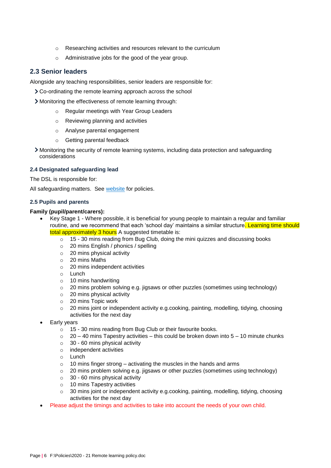- o Researching activities and resources relevant to the curriculum
- o Administrative jobs for the good of the year group.

#### **2.3 Senior leaders**

Alongside any teaching responsibilities, senior leaders are responsible for:

- Co-ordinating the remote learning approach across the school
- Monitoring the effectiveness of remote learning through:
	- o Regular meetings with Year Group Leaders
	- o Reviewing planning and activities
	- o Analyse parental engagement
	- o Getting parental feedback
- Monitoring the security of remote learning systems, including data protection and safeguarding considerations

#### **2.4 Designated safeguarding lead**

The DSL is responsible for:

All safeguarding matters. See [website](http://brooklandinfants.herts.sch.uk/) for policies.

#### **2.5 Pupils and parents**

#### **Family (pupil/parent/carers):**

- Key Stage 1 Where possible, it is beneficial for young people to maintain a regular and familiar routine, and we recommend that each 'school day' maintains a similar structure. Learning time should total approximately 3 hours A suggested timetable is:
	- o 15 30 mins reading from Bug Club, doing the mini quizzes and discussing books
	- o 20 mins English / phonics / spelling
	- o 20 mins physical activity
	- o 20 mins Maths
	- o 20 mins independent activities
	- o Lunch
	- o 10 mins handwriting
	- o 20 mins problem solving e.g. jigsaws or other puzzles (sometimes using technology)
	- o 20 mins physical activity
	- o 20 mins Topic work
	- $\circ$  20 mins joint or independent activity e.g.cooking, painting, modelling, tidying, choosing activities for the next day
- Early years
	- o 15 30 mins reading from Bug Club or their favourite books.
	- $\circ$  20 40 mins Tapestry activities this could be broken down into 5 10 minute chunks
	- $\circ$  30 60 mins physical activity
	- o independent activities
	- o Lunch
	- $\circ$  10 mins finger strong activating the muscles in the hands and arms
	- $\circ$  20 mins problem solving e.g. jigsaws or other puzzles (sometimes using technology)
	- $\circ$  30 60 mins physical activity
	- o 10 mins Tapestry activities
	- o 30 mins joint or independent activity e.g.cooking, painting, modelling, tidying, choosing activities for the next day
- Please adjust the timings and activities to take into account the needs of your own child.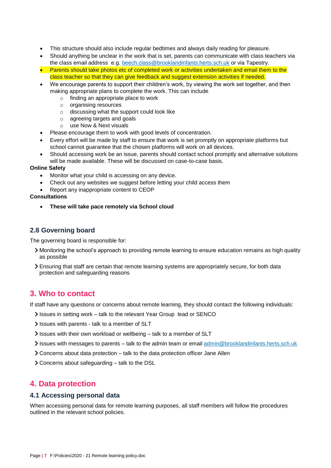- This structure should also include regular bedtimes and always daily reading for pleasure.
- Should anything be unclear in the work that is set, parents can communicate with class teachers via the class email address e.g. [beech.class@brooklandinfants.herts.sch.uk](mailto:beech.class@brooklandinfants.herts.sch.uk) or via Tapestry.
- **Parents should take photos etc of completed work or activities undertaken and email them to the** class teacher so that they can give feedback and suggest extension activities if needed.
- We encourage parents to support their children's work, by viewing the work set together, and then making appropriate plans to complete the work. This can include
	- o finding an appropriate place to work
	- o organising resources
	- o discussing what the support could look like
	- o agreeing targets and goals
	- o use Now & Next visuals
- Please encourage them to work with good levels of concentration.
- Every effort will be made by staff to ensure that work is set promptly on appropriate platforms but school cannot guarantee that the chosen platforms will work on all devices.
- Should accessing work be an issue, parents should contact school promptly and alternative solutions will be made available. These will be discussed on case-to-case basis.

#### **Online Safety**

- Monitor what your child is accessing on any device.
- Check out any websites we suggest before letting your child access them
- Report any inappropriate content to CEOP

#### **Consultations**

**These will take pace remotely via School cloud**

# **2.8 Governing board**

The governing board is responsible for:

- Monitoring the school's approach to providing remote learning to ensure education remains as high quality as possible
- Ensuring that staff are certain that remote learning systems are appropriately secure, for both data protection and safeguarding reasons

# <span id="page-6-0"></span>**3. Who to contact**

If staff have any questions or concerns about remote learning, they should contact the following individuals:

- Issues in setting work talk to the relevant Year Group lead or SENCO
- Issues with parents talk to a member of SLT
- $\ge$  Issues with their own workload or wellbeing talk to a member of SLT
- Issues with messages to parents talk to the admin team or email [admin@brooklandinfants.herts.sch.uk](mailto:admin@brooklandinfants.herts.sch.uk)
- Concerns about data protection talk to the data protection officer Jane Allen
- Concerns about safeguarding talk to the DSL

# <span id="page-6-1"></span>**4. Data protection**

#### **4.1 Accessing personal data**

When accessing personal data for remote learning purposes, all staff members will follow the procedures outlined in the relevant school policies.